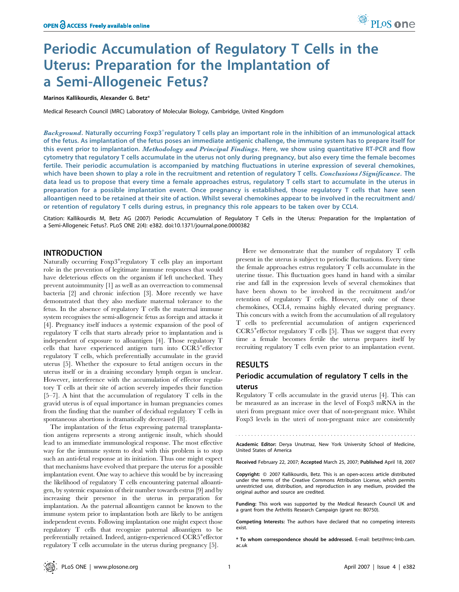# Periodic Accumulation of Regulatory T Cells in the Uterus: Preparation for the Implantation of a Semi-Allogeneic Fetus?

Marinos Kallikourdis, Alexander G. Betz\*

Medical Research Council (MRC) Laboratory of Molecular Biology, Cambridge, United Kingdom

Background. Naturally occurring Foxp3<sup>+</sup>regulatory T cells play an important role in the inhibition of an immunological attack of the fetus. As implantation of the fetus poses an immediate antigenic challenge, the immune system has to prepare itself for this event prior to implantation. Methodology and Principal Findings. Here, we show using quantitative RT-PCR and flow cytometry that regulatory T cells accumulate in the uterus not only during pregnancy, but also every time the female becomes fertile. Their periodic accumulation is accompanied by matching fluctuations in uterine expression of several chemokines, which have been shown to play a role in the recruitment and retention of regulatory T cells. Conclusions/Significance. The data lead us to propose that every time a female approaches estrus, regulatory T cells start to accumulate in the uterus in preparation for a possible implantation event. Once pregnancy is established, those regulatory T cells that have seen alloantigen need to be retained at their site of action. Whilst several chemokines appear to be involved in the recruitment and/ or retention of regulatory T cells during estrus, in pregnancy this role appears to be taken over by CCL4.

Citation: Kallikourdis M, Betz AG (2007) Periodic Accumulation of Regulatory T Cells in the Uterus: Preparation for the Implantation of a Semi-Allogeneic Fetus?. PLoS ONE 2(4): e382. doi:10.1371/journal.pone.0000382

# INTRODUCTION

Naturally occurring  $F\text{oxp3}^+$ regulatory T cells play an important role in the prevention of legitimate immune responses that would have deleterious effects on the organism if left unchecked. They prevent autoimmunity [1] as well as an overreaction to commensal bacteria [2] and chronic infection [3]. More recently we have demonstrated that they also mediate maternal tolerance to the fetus. In the absence of regulatory T cells the maternal immune system recognises the semi-allogeneic fetus as foreign and attacks it [4]. Pregnancy itself induces a systemic expansion of the pool of regulatory T cells that starts already prior to implantation and is independent of exposure to alloantigen [4]. Those regulatory T cells that have experienced antigen turn into CCR5<sup>+</sup> effector regulatory T cells, which preferentially accumulate in the gravid uterus [5]. Whether the exposure to fetal antigen occurs in the uterus itself or in a draining secondary lymph organ is unclear. However, interference with the accumulation of effector regulatory T cells at their site of action severely impedes their function [5–7]. A hint that the accumulation of regulatory T cells in the gravid uterus is of equal importance in human pregnancies comes from the finding that the number of decidual regulatory T cells in spontaneous abortions is dramatically decreased [8].

The implantation of the fetus expressing paternal transplantation antigens represents a strong antigenic insult, which should lead to an immediate immunological response. The most effective way for the immune system to deal with this problem is to stop such an anti-fetal response at its initiation. Thus one might expect that mechanisms have evolved that prepare the uterus for a possible implantation event. One way to achieve this would be by increasing the likelihood of regulatory T cells encountering paternal alloantigen, by systemic expansion of their number towards estrus [9] and by increasing their presence in the uterus in preparation for implantation. As the paternal alloantigen cannot be known to the immune system prior to implantation both are likely to be antigen independent events. Following implantation one might expect those regulatory T cells that recognize paternal alloantigen to be preferentially retained. Indeed, antigen-experienced CCR5<sup>+</sup>effector regulatory T cells accumulate in the uterus during pregnancy [5].

Here we demonstrate that the number of regulatory T cells present in the uterus is subject to periodic fluctuations. Every time the female approaches estrus regulatory T cells accumulate in the uterine tissue. This fluctuation goes hand in hand with a similar rise and fall in the expression levels of several chemokines that have been shown to be involved in the recruitment and/or retention of regulatory T cells. However, only one of these chemokines, CCL4, remains highly elevated during pregnancy. This concurs with a switch from the accumulation of all regulatory T cells to preferential accumulation of antigen experienced CCR5<sup>+</sup>effector regulatory T cells [5]. Thus we suggest that every time a female becomes fertile the uterus prepares itself by recruiting regulatory T cells even prior to an implantation event.

# RESULTS

# Periodic accumulation of regulatory T cells in the uterus

Regulatory T cells accumulate in the gravid uterus [4]. This can be measured as an increase in the level of Foxp3 mRNA in the uteri from pregnant mice over that of non-pregnant mice. Whilst Foxp3 levels in the uteri of non-pregnant mice are consistently

Academic Editor: Derya Unutmaz, New York University School of Medicine, United States of America

Received February 22, 2007; Accepted March 25, 2007; Published April 18, 2007

Copyright:  $@$  2007 Kallikourdis, Betz. This is an open-access article distributed under the terms of the Creative Commons Attribution License, which permits unrestricted use, distribution, and reproduction in any medium, provided the original author and source are credited.

Funding: This work was supported by the Medical Research Council UK and a grant from the Arthritis Research Campaign (grant no: B0750).

Competing Interests: The authors have declared that no competing interests exist.

\* To whom correspondence should be addressed. E-mail: betz@mrc-lmb.cam. ac.uk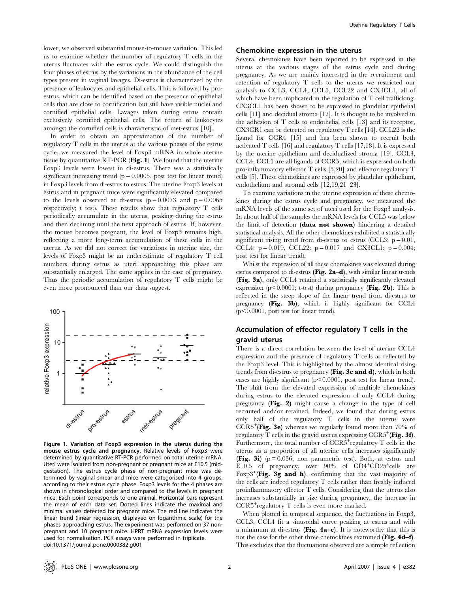lower, we observed substantial mouse-to-mouse variation. This led us to examine whether the number of regulatory T cells in the uterus fluctuates with the estrus cycle. We could distinguish the four phases of estrus by the variations in the abundance of the cell types present in vaginal lavages. Di-estrus is characterized by the presence of leukocytes and epithelial cells. This is followed by proestrus, which can be identified based on the presence of epithelial cells that are close to cornification but still have visible nuclei and cornified epithelial cells. Lavages taken during estrus contain exclusively cornified epithelial cells. The return of leukocytes amongst the cornified cells is characteristic of met-estrus [10].

In order to obtain an approximation of the number of regulatory T cells in the uterus at the various phases of the estrus cycle, we measured the level of Foxp3 mRNA in whole uterine tissue by quantitative RT-PCR (Fig. 1). We found that the uterine Foxp3 levels were lowest in di-estrus. There was a statistically significant increasing trend ( $p = 0.0005$ , post test for linear trend) in Foxp3 levels from di-estrus to estrus. The uterine Foxp3 levels at estrus and in pregnant mice were significantly elevated compared to the levels observed at di-estrus  $(p=0.0073$  and  $p=0.0065$ respectively; t test). These results show that regulatory T cells periodically accumulate in the uterus, peaking during the estrus and then declining until the next approach of estrus. If, however, the mouse becomes pregnant, the level of Foxp3 remains high, reflecting a more long-term accumulation of these cells in the uterus. As we did not correct for variations in uterine size, the levels of Foxp3 might be an underestimate of regulatory T cell numbers during estrus as uteri approaching this phase are substantially enlarged. The same applies in the case of pregnancy. Thus the periodic accumulation of regulatory T cells might be even more pronounced than our data suggest.



Figure 1. Variation of Foxp3 expression in the uterus during the mouse estrus cycle and pregnancy. Relative levels of Foxp3 were determined by quantitative RT-PCR performed on total uterine mRNA. Uteri were isolated from non-pregnant or pregnant mice at E10.5 (midgestation). The estrus cycle phase of non-pregnant mice was determined by vaginal smear and mice were categorised into 4 groups, according to their estrus cycle phase. Foxp3 levels for the 4 phases are shown in chronological order and compared to the levels in pregnant mice. Each point corresponds to one animal. Horizontal bars represent the mean of each data set. Dotted lines indicate the maximal and minimal values detected for pregnant mice. The red line indicates the linear trend (linear regression, displayed on logarithmic scale) for the phases approaching estrus. The experiment was performed on 37 nonpregnant and 10 pregnant mice. HPRT mRNA expression levels were used for normalisation. PCR assays were performed in triplicate. doi:10.1371/journal.pone.0000382.g001

## Chemokine expression in the uterus

Several chemokines have been reported to be expressed in the uterus at the various stages of the estrus cycle and during pregnancy. As we are mainly interested in the recruitment and retention of regulatory T cells to the uterus we restricted our analysis to CCL3, CCL4, CCL5, CCL22 and CX3CL1, all of which have been implicated in the regulation of T cell trafficking. CX3CL1 has been shown to be expressed in glandular epithelial cells [11] and decidual stroma [12]. It is thought to be involved in the adhesion of T cells to endothelial cells [13] and its receptor, CX3CR1 can be detected on regulatory T cells [14]. CCL22 is the ligand for CCR4 [15] and has been shown to recruit both activated T cells [16] and regulatory T cells [17,18]. It is expressed by the uterine epithelium and decidualized stroma [19]. CCL3, CCL4, CCL5 are all ligands of CCR5, which is expressed on both pro-inflammatory effector T cells [5,20] and effector regulatory T cells [5]. These chemokines are expressed by glandular epithelium, endothelium and stromal cells [12,19,21–23].

To examine variations in the uterine expression of these chemokines during the estrus cycle and pregnancy, we measured the mRNA levels of the same set of uteri used for the Foxp3 analysis. In about half of the samples the mRNA levels for CCL5 was below the limit of detection (data not shown) hindering a detailed statistical analysis. All the other chemokines exhibited a statistically significant rising trend from di-estrus to estrus (CCL3:  $p = 0.01$ , CCL4:  $p = 0.019$ , CCL22:  $p = 0.017$  and CX3CL1:  $p = 0.004$ ; post test for linear trend).

Whilst the expression of all these chemokines was elevated during estrus compared to di-estrus (Fig. 2a–d), with similar linear trends (Fig. 3a), only CCL4 retained a statistically significantly elevated expression ( $p<0.0001$ ; t-test) during pregnancy (Fig. 2b). This is reflected in the steep slope of the linear trend from di-estrus to pregnancy (Fig. 3b), which is highly significant for CCL4  $(p<0.0001$ , post test for linear trend).

# Accumulation of effector regulatory T cells in the gravid uterus

There is a direct correlation between the level of uterine CCL4 expression and the presence of regulatory T cells as reflected by the Foxp3 level. This is highlighted by the almost identical rising trends from di-estrus to pregnancy (Fig. 3c and d), which in both cases are highly significant  $(p<0.0001$ , post test for linear trend). The shift from the elevated expression of multiple chemokines during estrus to the elevated expression of only CCL4 during pregnancy (Fig. 2) might cause a change in the type of cell recruited and/or retained. Indeed, we found that during estrus only half of the regulatory T cells in the uterus were  $CCR5^+$ (Fig. 3e) whereas we regularly found more than 70% of regulatory  $\widetilde{T}$  cells in the gravid uterus expressing  ${\rm CCR5}^+$  (Fig. 3f). Furthermore, the total number of CCR5<sup>+</sup>regulatory T cells in the uterus as a proportion of all uterine cells increases significantly **(Fig. 3i)** ( $p = 0.036$ ; non parametric test). Both, at estrus and E10.5 of pregnancy, over 90% of CD4+CD25+cells are Foxp3<sup>+</sup>(Fig. 3g and h), confirming that the vast majority of the cells are indeed regulatory T cells rather than freshly induced proinflammatory effector T cells. Considering that the uterus also increases substantially in size during pregnancy, the increase in CCR5<sup>+</sup> regulatory T cells is even more marked.

When plotted in temporal sequence, the fluctuations in Foxp3, CCL3, CCL4 fit a sinusoidal curve peaking at estrus and with a minimum at di-estrus (Fig. 4a–c). It is noteworthy that this is not the case for the other three chemokines examined (Fig. 4d–f). This excludes that the fluctuations observed are a simple reflection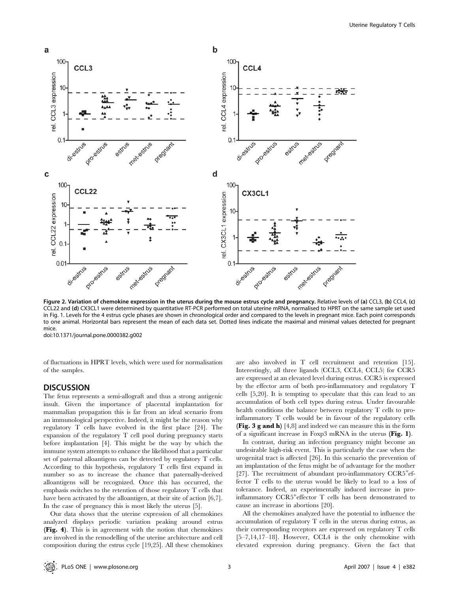

Figure 2. Variation of chemokine expression in the uterus during the mouse estrus cycle and pregnancy. Relative levels of (a) CCL3, (b) CCL4, (c) CCL22 and (d) CX3CL1 were determined by quantitative RT-PCR performed on total uterine mRNA, normalised to HPRT on the same sample set used in Fig. 1. Levels for the 4 estrus cycle phases are shown in chronological order and compared to the levels in pregnant mice. Each point corresponds to one animal. Horizontal bars represent the mean of each data set. Dotted lines indicate the maximal and minimal values detected for pregnant mice.

doi:10.1371/journal.pone.0000382.g002

of fluctuations in HPRT levels, which were used for normalisation of the samples.

# **DISCUSSION**

The fetus represents a semi-allograft and thus a strong antigenic insult. Given the importance of placental implantation for mammalian propagation this is far from an ideal scenario from an immunological perspective. Indeed, it might be the reason why regulatory T cells have evolved in the first place [24]. The expansion of the regulatory T cell pool during pregnancy starts before implantation [4]. This might be the way by which the immune system attempts to enhance the likelihood that a particular set of paternal alloantigens can be detected by regulatory T cells. According to this hypothesis, regulatory T cells first expand in number so as to increase the chance that paternally-derived alloantigens will be recognized. Once this has occurred, the emphasis switches to the retention of those regulatory T cells that have been activated by the alloantigen, at their site of action [6,7]. In the case of pregnancy this is most likely the uterus [5].

Our data shows that the uterine expression of all chemokines analyzed displays periodic variation peaking around estrus (Fig. 4). This is in agreement with the notion that chemokines are involved in the remodelling of the uterine architecture and cell composition during the estrus cycle [19,25]. All these chemokines are also involved in T cell recruitment and retention [15]. Interestingly, all three ligands (CCL3, CCL4, CCL5) for CCR5 are expressed at an elevated level during estrus. CCR5 is expressed by the effector arm of both pro-inflammatory and regulatory T cells [5,20]. It is tempting to speculate that this can lead to an accumulation of both cell types during estrus. Under favourable health conditions the balance between regulatory T cells to proinflammatory T cells would be in favour of the regulatory cells (Fig. 3 g and h) [4,8] and indeed we can measure this in the form of a significant increase in Foxp3 mRNA in the uterus (Fig. 1).

In contrast, during an infection pregnancy might become an undesirable high-risk event. This is particularly the case when the urogenital tract is affected [26]. In this scenario the prevention of an implantation of the fetus might be of advantage for the mother [27]. The recruitment of abundant pro-inflammatory CCR5<sup>+</sup>effector T cells to the uterus would be likely to lead to a loss of tolerance. Indeed, an experimentally induced increase in proinflammatory CCR5<sup>+</sup>effector T cells has been demonstrated to cause an increase in abortions [20].

All the chemokines analyzed have the potential to influence the accumulation of regulatory T cells in the uterus during estrus, as their corresponding receptors are expressed on regulatory T cells [5–7,14,17–18]. However, CCL4 is the only chemokine with elevated expression during pregnancy. Given the fact that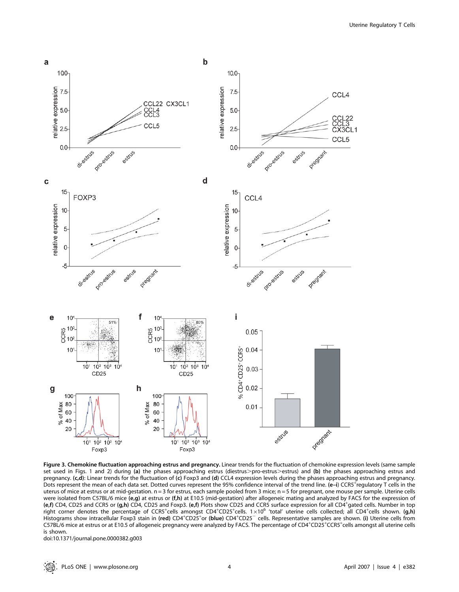Uterine Regulatory T Cells



Figure 3. Chemokine fluctuation approaching estrus and pregnancy. Linear trends for the fluctuation of chemokine expression levels (same sample set used in Figs. 1 and 2) during (a) the phases approaching estrus (diestrus>pro-estrus>estrus) and (b) the phases approaching estrus and pregnancy. (c,d): Linear trends for the fluctuation of (c) Foxp3 and (d) CCL4 expression levels during the phases approaching estrus and pregnancy. Dots represent the mean of each data set. Dotted curves represent the 95% confidence interval of the trend line. (e–i) CCR5 regulatory T cells in the uterus of mice at estrus or at mid-gestation. n = 3 for estrus, each sample pooled from 3 mice; n = 5 for pregnant, one mouse per sample. Uterine cells were isolated from C57BL/6 mice (e,g) at estrus or (f,h) at E10.5 (mid-gestation) after allogeneic mating and analyzed by FACS for the expression of (e,f) CD4, CD25 and CCR5 or (g,h) CD4, CD25 and Foxp3. (e,f) Plots show CD25 and CCR5 surface expression for all CD4<sup>+</sup> gated cells. Number in top right corner denotes the percentage of CCR5<sup>+</sup>cells amongst CD4<sup>+</sup>CD25<sup>+</sup>cells. 1×10<sup>6</sup> 'total' uterine cells collected; all CD4<sup>+</sup>cells shown. (g,h) Histograms show intracellular Foxp3 stain in (red) CD4<sup>+</sup>CD25<sup>+</sup>or (blue) CD4<sup>+</sup>CD25<sup>-</sup> cells. Representative samples are shown. (i) Uterine cells from C57BL/6 mice at estrus or at E10.5 of allogeneic pregnancy were analyzed by FACS. The percentage of CD4+CD25+CCR5+cells amongst all uterine cells is shown.

doi:10.1371/journal.pone.0000382.g003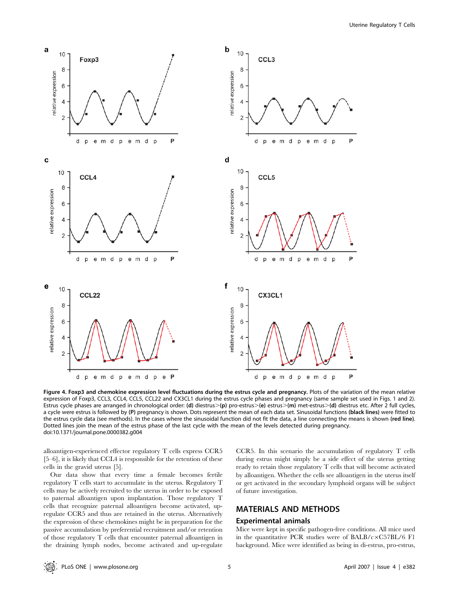

Figure 4. Foxp3 and chemokine expression level fluctuations during the estrus cycle and pregnancy. Plots of the variation of the mean relative expression of Foxp3, CCL3, CCL4, CCL5, CCL22 and CX3CL1 during the estrus cycle phases and pregnancy (same sample set used in Figs. 1 and 2). Estrus cycle phases are arranged in chronological order: (d) diestrus>(p) pro-estrus>(e) estrus>(m) met-estrus>(d) diestrus etc. After 2 full cycles, a cycle were estrus is followed by (P) pregnancy is shown. Dots represent the mean of each data set. Sinusoidal functions (black lines) were fitted to the estrus cycle data (see methods). In the cases where the sinusoidal function did not fit the data, a line connecting the means is shown (red line). Dotted lines join the mean of the estrus phase of the last cycle with the mean of the levels detected during pregnancy. doi:10.1371/journal.pone.0000382.g004

alloantigen-experienced effector regulatory T cells express CCR5 [5–6], it is likely that CCL4 is responsible for the retention of these cells in the gravid uterus [5].

Our data show that every time a female becomes fertile regulatory T cells start to accumulate in the uterus. Regulatory T cells may be actively recruited to the uterus in order to be exposed to paternal alloantigen upon implantation. Those regulatory T cells that recognize paternal alloantigen become activated, upregulate CCR5 and thus are retained in the uterus. Alternatively the expression of these chemokines might be in preparation for the passive accumulation by preferential recruitment and/or retention of those regulatory T cells that encounter paternal alloantigen in the draining lymph nodes, become activated and up-regulate CCR5. In this scenario the accumulation of regulatory T cells during estrus might simply be a side effect of the uterus getting ready to retain those regulatory T cells that will become activated by alloantigen. Whether the cells see alloantigen in the uterus itself or get activated in the secondary lymphoid organs will be subject of future investigation.

# MATERIALS AND METHODS

#### Experimental animals

Mice were kept in specific pathogen-free conditions. All mice used in the quantitative PCR studies were of BALB/c $\times$ C57BL/6 F1 background. Mice were identified as being in di-estrus, pro-estrus,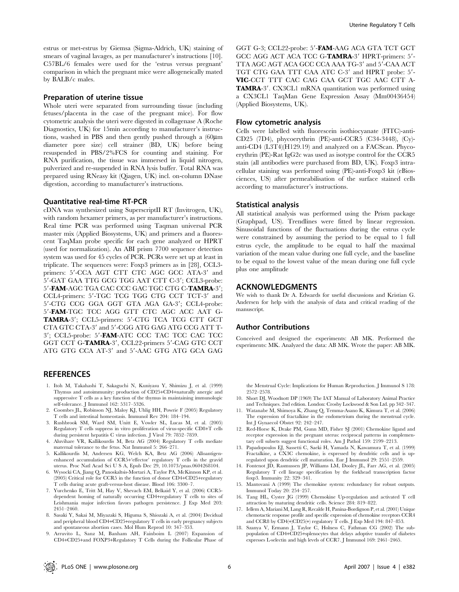estrus or met-estrus by Giemsa (Sigma-Aldrich, UK) staining of smears of vaginal lavages, as per manufacturer's instructions [10]. C57BL/6 females were used for the 'estrus versus pregnant' comparison in which the pregnant mice were allogeneically mated by BALB/c males.

#### Preparation of uterine tissue

Whole uteri were separated from surrounding tissue (including fetuses/placenta in the case of the pregnant mice). For flow cytometric analysis the uteri were digested in collagenase A (Roche Diagnostics, UK) for 15min according to manufacturer's instructions, washed in PBS and then gently pushed through a  $(60 \mu m)$ diameter pore size) cell strainer (BD, UK) before being resuspended in PBS/2%FCS for counting and staining. For RNA purification, the tissue was immersed in liquid nitrogen, pulverized and re-suspended in RNA lysis buffer. Total RNA was prepared using RNeasy kit (Qiagen, UK) incl. on-column DNase digestion, according to manufacturer's instructions.

## Quantitative real-time RT-PCR

cDNA was synthesized using SuperscriptII RT (Invitrogen, UK), with random hexamer primers, as per manufacturer's instructions. Real time PCR was performed using Taqman universal PCR master mix (Applied Biosystems, UK) and primers and a fluorescent TaqMan probe specific for each gene analyzed or HPRT (used for normalization). An ABI prism 7700 sequence detection system was used for 45 cycles of PCR. PCRs were set up at least in triplicate. The sequences were: Foxp3 primers as in [28], CCL3 primers: 5'-CCA AGT CTT CTC AGC GCC ATA-3' and 5'-GAT GAA TTG GCG TGG AAT CTT C-3'; CCL3-probe: 5'-FAM-AGC TGA CAC CCC GAC TGC CTG C-TAMRA-3'; CCL4-primers: 5'-TGC TCG TGG CTG CCT TCT-3' and 5'-CTG CCG GGA GGT GTA AGA GA-3'; CCL4-probe: 5'-FAM-TGC TCC AGG GTT CTC AGC ACC AAT G-TAMRA-3': CCL5-primers: 5'-CTG TCA TCG CTT GCT CTA GTC CTA-3' and 5'-CGG ATG GAG ATG CCG ATT T-3'; CCL5-probe: 5'-FAM-ATC CCC TAC TCC CAC TCC GGT CCT G-TAMRA-3', CCL22-primers 5'-CAG GTC CCT ATG GTG CCA AT-3' and 5'-AAC GTG ATG GCA GAG

## **REFERENCES**

- 1. Itoh M, Takahashi T, Sakaguchi N, Kuniyasu Y, Shimizu J, et al. (1999) Thymus and autoimmunity: production of CD25+CD4+naturally anergic and suppressive T cells as a key function of the thymus in maintaining immunologic self-tolerance. J Immunol 162: 5317–5326.
- 2. Coombes JL, Robinson NJ, Maloy KJ, Uhlig HH, Powrie F (2005) Regulatory T cells and intestinal homeostasis. Immunol Rev 204: 184–194.
- 3. Rushbrook SM, Ward SM, Unitt E, Vowler SL, Lucas M, et al. (2005) Regulatory T cells suppress in vitro proliferation of virus-specific CD8+T cells during persistent hepatitis C virus infection. J Virol 79: 7852–7859.
- 4. Aluvihare VR, Kallikourdis M, Betz AG (2004) Regulatory T cells mediate maternal tolerance to the fetus. Nat Immunol 5: 266–271.
- 5. Kallikourdis M, Andersen KG, Welch KA, Betz AG (2006) Alloantigenenhanced accumulation of CCR5+'effector' regulatory T cells in the gravid uterus. Proc Natl Acad Sci U S A, Epub Dec 29, 10.1073/pnas.0604268104.
- 6. Wysocki CA, Jiang Q, Panoskaltsis-Mortari A, Taylor PA, McKinnon KP, et al. (2005) Critical role for CCR5 in the function of donor CD4+CD25+regulatory T cells during acute graft-versus-host disease. Blood 106: 3300–7.
- 7. Yurchenko E, Tritt M, Hay V, Shevach EM, Belkaid Y, et al. (2006) CCR5 dependent homing of naturally occurring CD4+regulatory T cells to sites of Leishmania major infection favors pathogen persistence. J Exp Med 203: 2451–2460.
- 8. Sasaki Y, Sakai M, Miyazaki S, Higuma S, Shiozaki A, et al. (2004) Decidual and peripheral blood CD4+CD25+regulatory T cells in early pregnancy subjects and spontaneous abortion cases. Mol Hum Reprod 10: 347–353.
- 9. Arruvito L, Sanz M, Banham AH, Fainboim L (2007) Expansion of CD4+CD25+and FOXP3+Regulatory T Cells during the Follicular Phase of

GGT G-3; CCL22-probe: 5'-FAM-AAG ACA GTA TCT GCT GCC AGG ACT ACA TCC G-TAMRA-3' HPRT-primers: 5'-TTA AGC AGT ACA GCC CCA AAA TG-3' and 5'-CAA ACT TGT CTG GAA TTT CAA ATC C-3' and HPRT probe: 5'-VIC-CCT TTT CAC CAG CAA GCT TGC AAC CTT A-TAMRA-3'. CX3CL1 mRNA quantitation was performed using a CX3CL1 TaqMan Gene Expression Assay (Mm00436454) (Applied Biosystems, UK).

## Flow cytometric analysis

Cells were labelled with fluorescein isothiocyanate (FITC)-anti-CD25 (7D4), phycoerythrin (PE)-anti-CCR5 (C34-3448), (Cy) anti-CD4 (L3T4)(H129.19) and analyzed on a FACScan. Phycoerythrin (PE)-Rat IgG2c was used as isotype control for the CCR5 stain (all antibodies were purchased from BD, UK). Foxp3 intracellular staining was performed using (PE)-anti-Foxp3 kit (eBiosciences, US) after permeabilisation of the surface stained cells according to manufacturer's instructions.

## Statistical analysis

All statistical analysis was performed using the Prism package (Graphpad, US). Trendlines were fitted by linear regression. Sinusoidal functions of the fluctuations during the estrus cycle were constrained by assuming the period to be equal to 1 full estrus cycle, the amplitude to be equal to half the maximal variation of the mean value during one full cycle, and the baseline to be equal to the lowest value of the mean during one full cycle plus one amplitude

## ACKNOWLEDGMENTS

We wish to thank Dr A. Edwards for useful discussions and Kristian G. Andersen for help with the analysis of data and critical reading of the manuscript.

## Author Contributions

Conceived and designed the experiments: AB MK. Performed the experiments: MK. Analyzed the data: AB MK. Wrote the paper: AB MK.

the Menstrual Cycle: Implications for Human Reproduction. J Immunol S 178: 2572–2578.

- 10. Short DJ, Woodnott DP (1969) The IAT Manual of Laboratory Animal Practice and Techniques. 2nd edition. London: Crosby Lockwood & Son Ltd. pp 342–347.
- 11. Watanabe M, Shimoya K, Zhang Q, Temma-Asano K, Kimura T, et al. (2006) The expression of fractalkine in the endometrium during the menstrual cycle. Int J Gynaecol Obstet 92: 242–247.
- 12. Red-Horse K, Drake PM, Gunn MD, Fisher SJ (2001) Chemokine ligand and receptor expression in the pregnant uterus: reciprocal patterns in complementary cell subsets suggest functional roles. Am J Pathol 159: 2199–2213.
- 13. Papadopoulos EJ, Sassetti C, Saeki H, Yamada N, Kawamura T, et al. (1999) Fractalkine, a CX3C chemokine, is expressed by dendritic cells and is upregulated upon dendritic cell maturation. Eur J Immunol 29: 2551–2559.
- 14. Fontenot JD, Rasmussen JP, Williams LM, Dooley JL, Farr AG, et al. (2005) Regulatory T cell lineage specification by the forkhead transcription factor foxp3. Immunity 22: 329–341.
- 15. Mantovani A (1999) The chemokine system: redundancy for robust outputs. Immunol Today 20: 254–257.
- 16. Tang HL, Cyster JG (1999) Chemokine Up-regulation and activated T cell attraction by maturing dendritic cells. Science 284: 819–822.
- 17. Iellem A, Mariani M, Lang R, Recalde H, Panina-Bordignon P, et al. (2001) Unique chemotactic response profile and specific expression of chemokine receptors CCR4 and CCR8 by CD4(+)CD25(+) regulatory T cells. J Exp Med 194: 847–853.
- 18. Szanya V, Ermann J, Taylor C, Holness C, Fathman CG (2002) The subpopulation of CD4+CD25+splenocytes that delays adoptive transfer of diabetes expresses L-selectin and high levels of CCR7. J Immunol 169: 2461–2465.